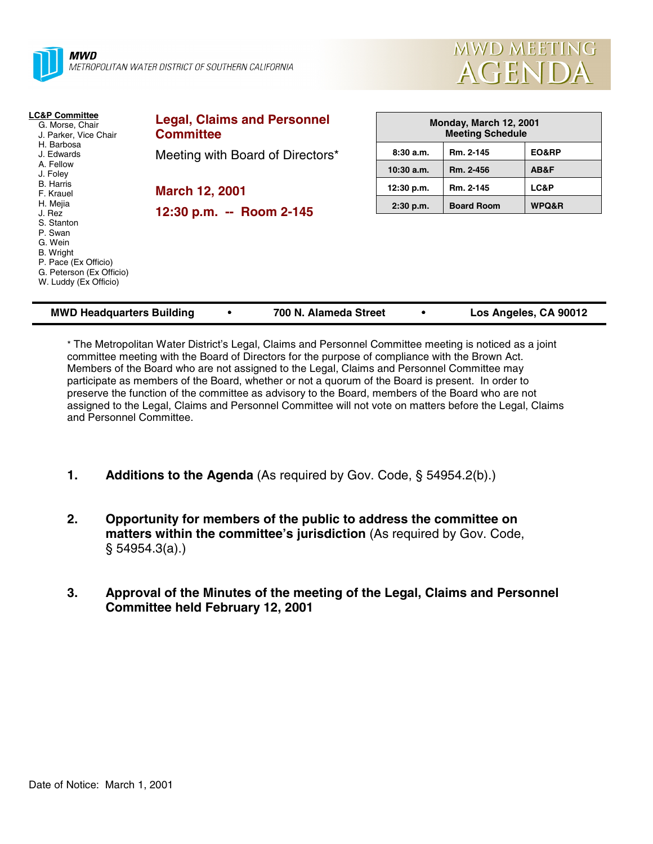



| <b>LC&amp;P Committee</b><br>G. Morse, Chair<br>J. Parker, Vice Chair | <b>Legal, Claims and Personnel</b><br><b>Committee</b> | Monday, March 12, 2001<br><b>Meeting Schedule</b> |                   |                       |
|-----------------------------------------------------------------------|--------------------------------------------------------|---------------------------------------------------|-------------------|-----------------------|
| H. Barbosa<br>J. Edwards                                              | Meeting with Board of Directors*                       | 8:30a.m.                                          | Rm. 2-145         | EO&RP                 |
| A. Fellow<br>J. Foley                                                 |                                                        | $10:30$ a.m.                                      | Rm. 2-456         | AB&F                  |
| B. Harris<br>F. Krauel                                                | <b>March 12, 2001</b><br>12:30 p.m. -- Room 2-145      | 12:30 p.m.                                        | Rm. 2-145         | LC&P                  |
| H. Mejia<br>J. Rez                                                    |                                                        | $2:30$ p.m.                                       | <b>Board Room</b> | WPQ&R                 |
| S. Stanton                                                            |                                                        |                                                   |                   |                       |
| P. Swan<br>G. Wein                                                    |                                                        |                                                   |                   |                       |
| <b>B.</b> Wright<br>P. Pace (Ex Officio)                              |                                                        |                                                   |                   |                       |
| G. Peterson (Ex Officio)<br>W. Luddy (Ex Officio)                     |                                                        |                                                   |                   |                       |
| <b>MWD Headquarters Building</b>                                      | 700 N. Alameda Street                                  |                                                   |                   | Los Angeles, CA 90012 |

\* The Metropolitan Water District's Legal, Claims and Personnel Committee meeting is noticed as a joint committee meeting with the Board of Directors for the purpose of compliance with the Brown Act. Members of the Board who are not assigned to the Legal, Claims and Personnel Committee may participate as members of the Board, whether or not a quorum of the Board is present. In order to preserve the function of the committee as advisory to the Board, members of the Board who are not assigned to the Legal, Claims and Personnel Committee will not vote on matters before the Legal, Claims and Personnel Committee.

- **1. Additions to the Agenda** (As required by Gov. Code, § 54954.2(b).)
- **2. Opportunity for members of the public to address the committee on matters within the committee's jurisdiction** (As required by Gov. Code, § 54954.3(a).)
- **3. Approval of the Minutes of the meeting of the Legal, Claims and Personnel Committee held February 12, 2001**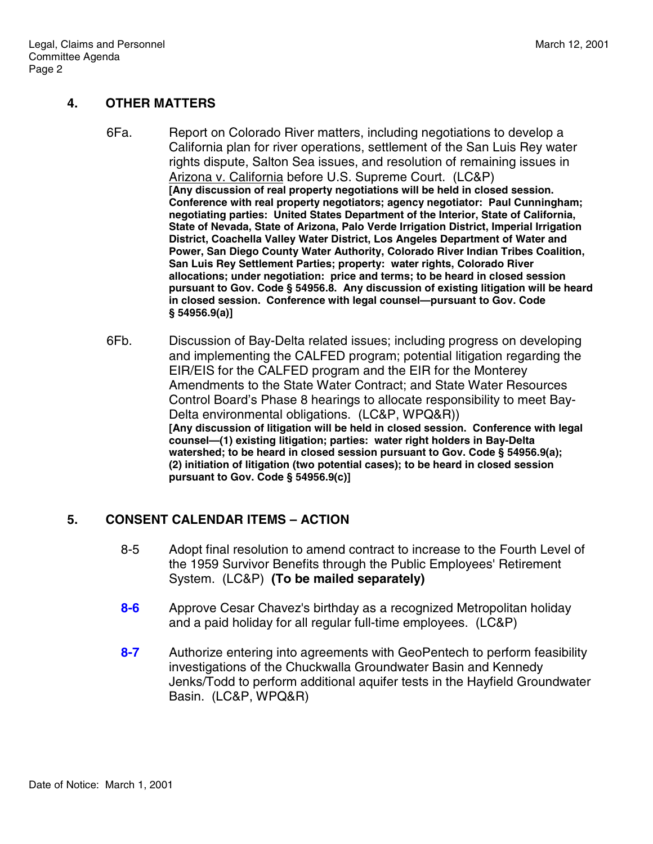## **4. OTHER MATTERS**

- 6Fa. Report on Colorado River matters, including negotiations to develop a California plan for river operations, settlement of the San Luis Rey water rights dispute, Salton Sea issues, and resolution of remaining issues in Arizona v. California before U.S. Supreme Court. (LC&P) **[Any discussion of real property negotiations will be held in closed session. Conference with real property negotiators; agency negotiator: Paul Cunningham; negotiating parties: United States Department of the Interior, State of California, State of Nevada, State of Arizona, Palo Verde Irrigation District, Imperial Irrigation District, Coachella Valley Water District, Los Angeles Department of Water and Power, San Diego County Water Authority, Colorado River Indian Tribes Coalition, San Luis Rey Settlement Parties; property: water rights, Colorado River allocations; under negotiation: price and terms; to be heard in closed session pursuant to Gov. Code § 54956.8. Any discussion of existing litigation will be heard in closed session. Conference with legal counsel—pursuant to Gov. Code § 54956.9(a)]**
- 6Fb. Discussion of Bay-Delta related issues; including progress on developing and implementing the CALFED program; potential litigation regarding the EIR/EIS for the CALFED program and the EIR for the Monterey Amendments to the State Water Contract; and State Water Resources Control Board's Phase 8 hearings to allocate responsibility to meet Bay-Delta environmental obligations. (LC&P, WPQ&R)) **[Any discussion of litigation will be held in closed session. Conference with legal counsel—(1) existing litigation; parties: water right holders in Bay-Delta watershed; to be heard in closed session pursuant to Gov. Code § 54956.9(a); (2) initiation of litigation (two potential cases); to be heard in closed session pursuant to Gov. Code § 54956.9(c)]**

## **5. CONSENT CALENDAR ITEMS – ACTION**

- 8-5 Adopt final resolution to amend contract to increase to the Fourth Level of the 1959 Survivor Benefits through the Public Employees' Retirement System. (LC&P) **(To be mailed separately)**
- **8-6** Approve Cesar Chavez's birthday as a recognized Metropolitan holiday and a paid holiday for all regular full-time employees. (LC&P)
- **8-7** Authorize entering into agreements with GeoPentech to perform feasibility investigations of the Chuckwalla Groundwater Basin and Kennedy Jenks/Todd to perform additional aquifer tests in the Hayfield Groundwater Basin. (LC&P, WPQ&R)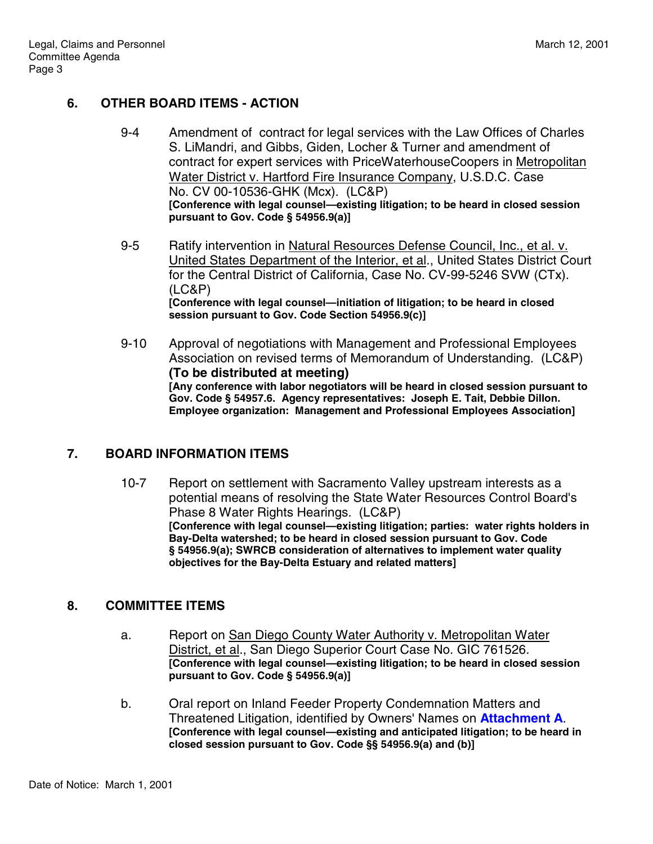# **6. OTHER BOARD ITEMS - ACTION**

- 9-4 Amendment of contract for legal services with the Law Offices of Charles S. LiMandri, and Gibbs, Giden, Locher & Turner and amendment of contract for expert services with PriceWaterhouseCoopers in Metropolitan Water District v. Hartford Fire Insurance Company, U.S.D.C. Case No. CV 00-10536-GHK (Mcx). (LC&P) **[Conference with legal counsel—existing litigation; to be heard in closed session pursuant to Gov. Code § 54956.9(a)]**
- 9-5 Ratify intervention in Natural Resources Defense Council, Inc., et al. v. United States Department of the Interior, et al., United States District Court for the Central District of California, Case No. CV-99-5246 SVW (CTx). (LC&P) **[Conference with legal counsel—initiation of litigation; to be heard in closed session pursuant to Gov. Code Section 54956.9(c)]**
- 9-10 Approval of negotiations with Management and Professional Employees Association on revised terms of Memorandum of Understanding. (LC&P) **(To be distributed at meeting) [Any conference with labor negotiators will be heard in closed session pursuant to Gov. Code § 54957.6. Agency representatives: Joseph E. Tait, Debbie Dillon. Employee organization: Management and Professional Employees Association]**

## **7. BOARD INFORMATION ITEMS**

10-7 Report on settlement with Sacramento Valley upstream interests as a potential means of resolving the State Water Resources Control Board's Phase 8 Water Rights Hearings. (LC&P) **[Conference with legal counsel—existing litigation; parties: water rights holders in Bay-Delta watershed; to be heard in closed session pursuant to Gov. Code § 54956.9(a); SWRCB consideration of alternatives to implement water quality objectives for the Bay-Delta Estuary and related matters]**

## **8. COMMITTEE ITEMS**

- a. Report on San Diego County Water Authority v. Metropolitan Water District, et al., San Diego Superior Court Case No. GIC 761526. **[Conference with legal counsel—existing litigation; to be heard in closed session pursuant to Gov. Code § 54956.9(a)]**
- b. Oral report on Inland Feeder Property Condemnation Matters and Threatened Litigation, identified by Owners' Names on **Attachment A**. **[Conference with legal counsel—existing and anticipated litigation; to be heard in closed session pursuant to Gov. Code §§ 54956.9(a) and (b)]**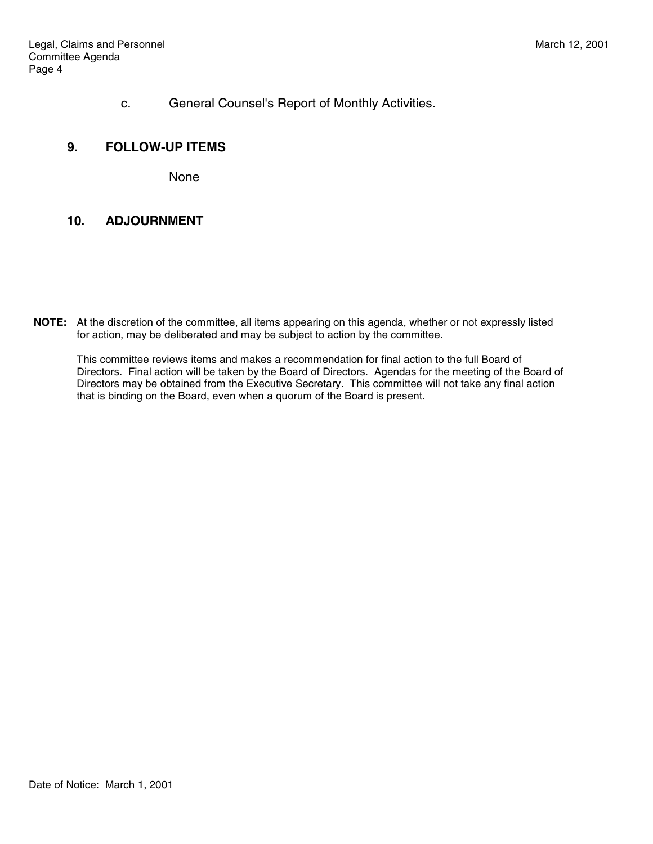c. General Counsel's Report of Monthly Activities.

#### **9. FOLLOW-UP ITEMS**

None

#### **10. ADJOURNMENT**

**NOTE:** At the discretion of the committee, all items appearing on this agenda, whether or not expressly listed for action, may be deliberated and may be subject to action by the committee.

This committee reviews items and makes a recommendation for final action to the full Board of Directors. Final action will be taken by the Board of Directors. Agendas for the meeting of the Board of Directors may be obtained from the Executive Secretary. This committee will not take any final action that is binding on the Board, even when a quorum of the Board is present.